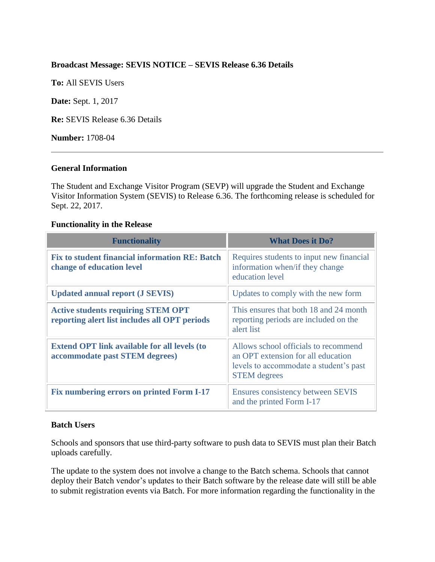## **Broadcast Message: SEVIS NOTICE – SEVIS Release 6.36 Details**

**To:** All SEVIS Users

**Date:** Sept. 1, 2017

**Re:** SEVIS Release 6.36 Details

**Number:** 1708-04

### **General Information**

The Student and Exchange Visitor Program (SEVP) will upgrade the Student and Exchange Visitor Information System (SEVIS) to Release 6.36. The forthcoming release is scheduled for Sept. 22, 2017.

### **Functionality in the Release**

| <b>Functionality</b>                                                                       | <b>What Does it Do?</b>                                                                                                                     |
|--------------------------------------------------------------------------------------------|---------------------------------------------------------------------------------------------------------------------------------------------|
| <b>Fix to student financial information RE: Batch</b><br>change of education level         | Requires students to input new financial<br>information when/if they change<br>education level                                              |
| <b>Updated annual report (J SEVIS)</b>                                                     | Updates to comply with the new form                                                                                                         |
| <b>Active students requiring STEM OPT</b><br>reporting alert list includes all OPT periods | This ensures that both 18 and 24 month<br>reporting periods are included on the<br>alert list                                               |
| <b>Extend OPT link available for all levels (to</b><br>accommodate past STEM degrees)      | Allows school officials to recommend<br>an OPT extension for all education<br>levels to accommodate a student's past<br><b>STEM</b> degrees |
| Fix numbering errors on printed Form I-17                                                  | <b>Ensures consistency between SEVIS</b><br>and the printed Form I-17                                                                       |

#### **Batch Users**

Schools and sponsors that use third-party software to push data to SEVIS must plan their Batch uploads carefully.

The update to the system does not involve a change to the Batch schema. Schools that cannot deploy their Batch vendor's updates to their Batch software by the release date will still be able to submit registration events via Batch. For more information regarding the functionality in the